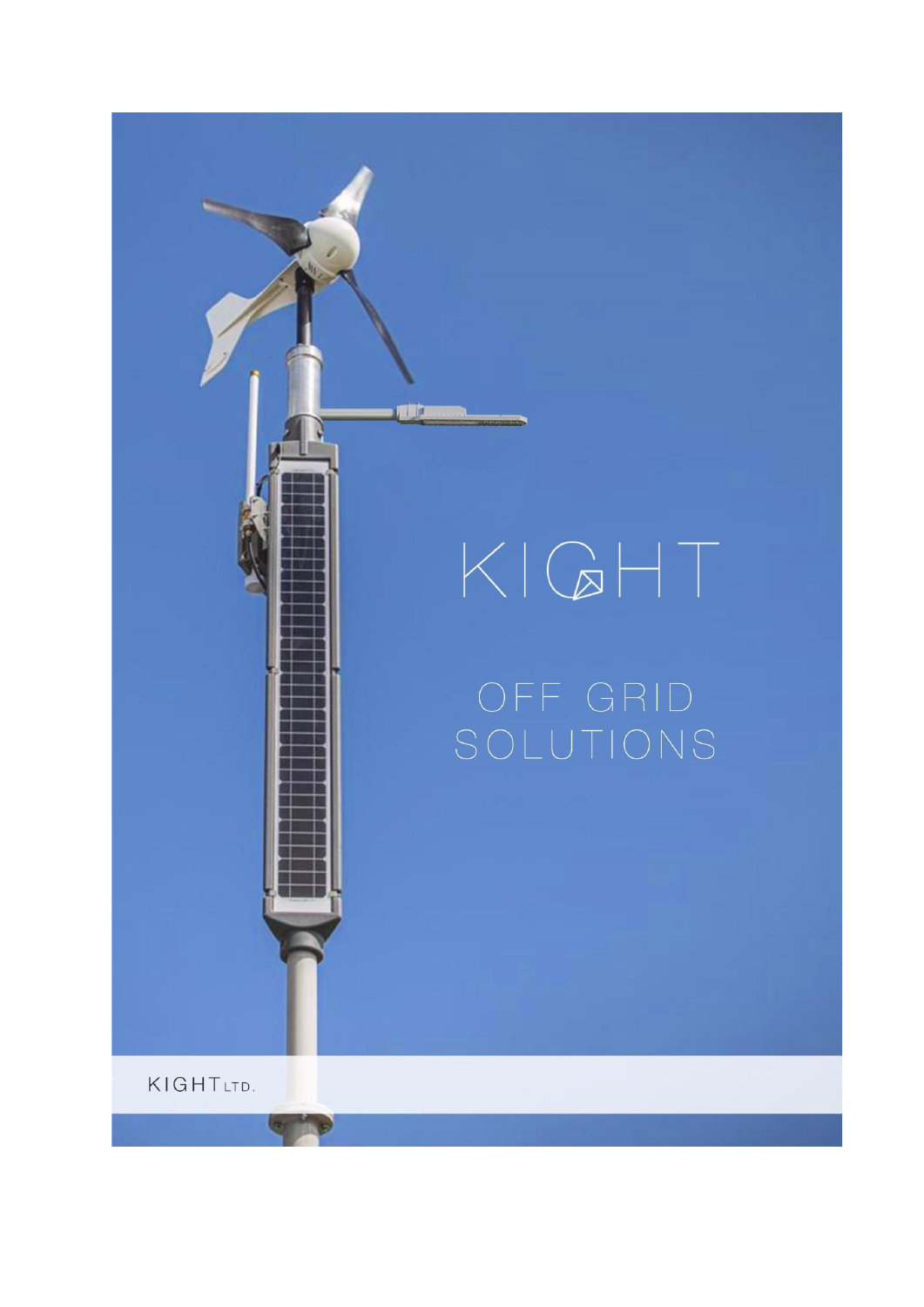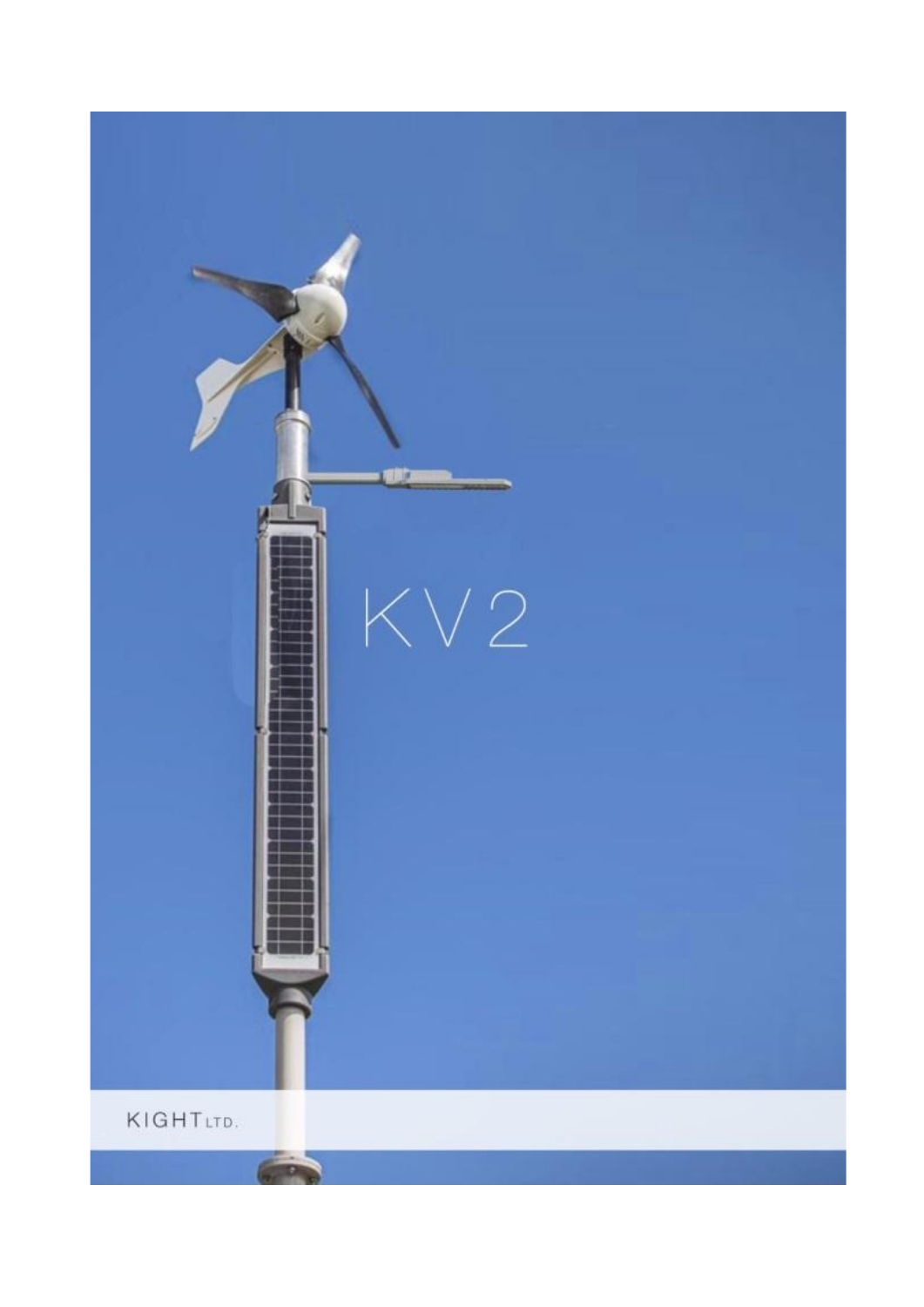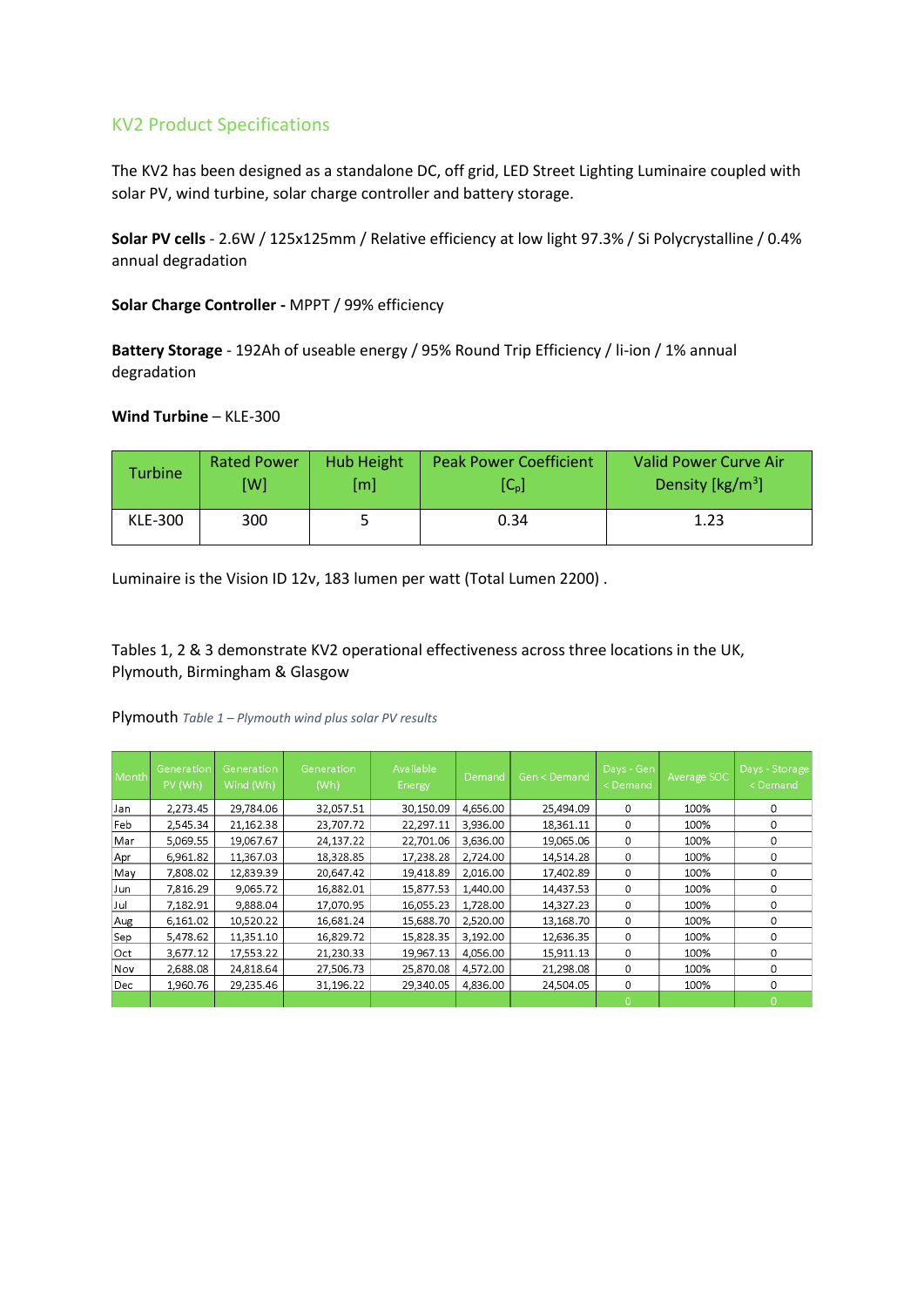## KV2 Product Specifications

The KV2 has been designed as a standalone DC, off grid, LED Street Lighting Luminaire coupled with solar PV, wind turbine, solar charge controller and battery storage.

**Solar PV cells** - 2.6W / 125x125mm / Relative efficiency at low light 97.3% / Si Polycrystalline / 0.4% annual degradation

**Solar Charge Controller -** MPPT / 99% efficiency

**Battery Storage** - 192Ah of useable energy / 95% Round Trip Efficiency / li-ion / 1% annual degradation

### **Wind Turbine** – KLE-300

| <b>Turbine</b> | <b>Rated Power</b> | <b>Hub Height</b> | <b>Peak Power Coefficient</b> | <b>Valid Power Curve Air</b>          |
|----------------|--------------------|-------------------|-------------------------------|---------------------------------------|
|                | [W]                | [m]               | $[C_{p}]$                     | Density $\left[\frac{kg}{m^3}\right]$ |
| KLE-300        | 300                |                   | 0.34                          | 1.23                                  |

Luminaire is the Vision ID 12v, 183 lumen per watt (Total Lumen 2200) .

Tables 1, 2 & 3 demonstrate KV2 operational effectiveness across three locations in the UK, Plymouth, Birmingham & Glasgow

| Month      | Generation<br>PV (Wh) | Generation<br>Wind (Wh) | Generation<br>(Wh) | Available<br>Energy | Demand   | Gen < Demand | Days - Gen<br><demand< th=""><th>Average SOC</th><th>Days - Storage<br/><demand< th=""></demand<></th></demand<> | Average SOC | Days - Storage<br><demand< th=""></demand<> |
|------------|-----------------------|-------------------------|--------------------|---------------------|----------|--------------|------------------------------------------------------------------------------------------------------------------|-------------|---------------------------------------------|
| Jan        | 2,273.45              | 29,784.06               | 32,057.51          | 30,150.09           | 4,656.00 | 25,494.09    | 0                                                                                                                | 100%        | 0                                           |
| Feb        | 2,545.34              | 21,162.38               | 23,707.72          | 22,297.11           | 3,936.00 | 18,361.11    | 0                                                                                                                | 100%        | 0                                           |
| Mar        | 5.069.55              | 19,067.67               | 24,137.22          | 22,701.06           | 3,636.00 | 19,065.06    | 0                                                                                                                | 100%        | 0                                           |
| Apr        | 6,961.82              | 11,367.03               | 18,328.85          | 17,238.28           | 2,724.00 | 14,514.28    | 0                                                                                                                | 100%        | 0                                           |
| May        | 7,808.02              | 12,839.39               | 20,647.42          | 19,418.89           | 2,016.00 | 17,402.89    | 0                                                                                                                | 100%        | 0                                           |
| Jun        | 7,816.29              | 9,065.72                | 16,882.01          | 15,877.53           | 1,440.00 | 14,437.53    | $\Omega$                                                                                                         | 100%        | 0                                           |
| Jul        | 7.182.91              | 9.888.04                | 17.070.95          | 16.055.23           | 1,728.00 | 14,327.23    | 0                                                                                                                | 100%        | 0                                           |
| Aug        | 6,161.02              | 10,520.22               | 16,681.24          | 15,688.70           | 2,520.00 | 13,168.70    | 0                                                                                                                | 100%        | 0                                           |
| Sep        | 5,478.62              | 11,351.10               | 16,829.72          | 15,828.35           | 3,192.00 | 12,636.35    | 0                                                                                                                | 100%        | 0                                           |
| Oct        | 3,677.12              | 17,553.22               | 21,230.33          | 19,967.13           | 4,056.00 | 15,911.13    | $\Omega$                                                                                                         | 100%        | 0                                           |
| Nov        | 2,688.08              | 24,818.64               | 27,506.73          | 25,870.08           | 4,572.00 | 21,298.08    | 0                                                                                                                | 100%        | 0                                           |
| <b>Dec</b> | 1.960.76              | 29.235.46               | 31,196.22          | 29,340.05           | 4,836.00 | 24.504.05    | $\Omega$                                                                                                         | 100%        | 0                                           |
|            |                       |                         |                    |                     |          |              | $\cap$                                                                                                           |             | $\cap$                                      |

Plymouth *Table 1 – Plymouth wind plus solar PV results*